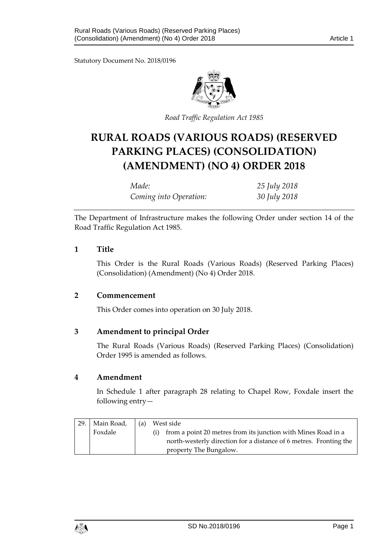Statutory Document No. 2018/0196



*Road Traffic Regulation Act 1985*

# **RURAL ROADS (VARIOUS ROADS) (RESERVED PARKING PLACES) (CONSOLIDATION) (AMENDMENT) (NO 4) ORDER 2018**

*Made: 25 July 2018 Coming into Operation: 30 July 2018*

The Department of Infrastructure makes the following Order under section 14 of the Road Traffic Regulation Act 1985.

#### **1 Title**

This Order is the Rural Roads (Various Roads) (Reserved Parking Places) (Consolidation) (Amendment) (No 4) Order 2018.

#### **2 Commencement**

This Order comes into operation on 30 July 2018.

### **3 Amendment to principal Order**

The Rural Roads (Various Roads) (Reserved Parking Places) (Consolidation) Order 1995 is amended as follows.

#### **4 Amendment**

In Schedule 1 after paragraph 28 relating to Chapel Row, Foxdale insert the following entry—

| 29. | Main Road, | (a) | West side |                                                                   |
|-----|------------|-----|-----------|-------------------------------------------------------------------|
|     | Foxdale    |     |           | from a point 20 metres from its junction with Mines Road in a     |
|     |            |     |           | north-westerly direction for a distance of 6 metres. Fronting the |
|     |            |     |           | property The Bungalow.                                            |

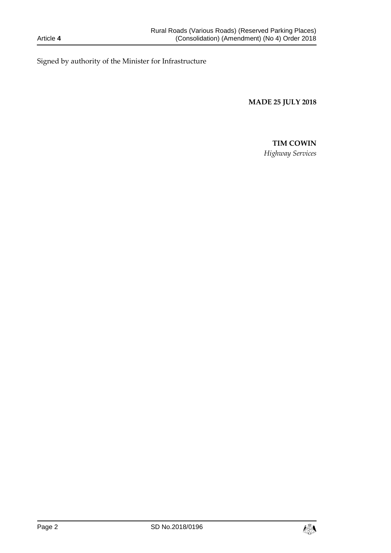Signed by authority of the Minister for Infrastructure

**MADE 25 JULY 2018**

# **TIM COWIN**

*Highway Services*